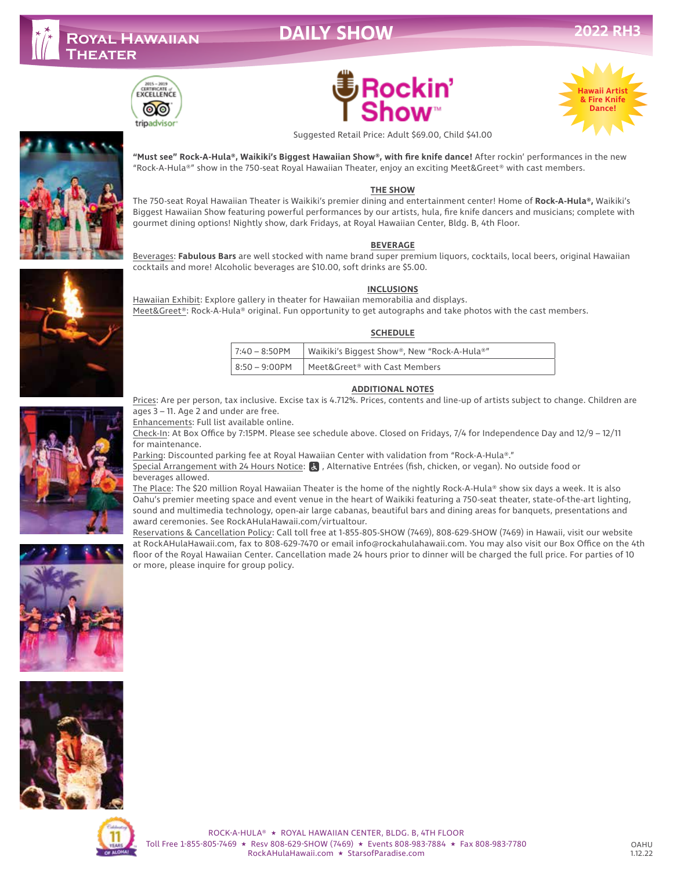# **DAILY SHOW**









Suggested Retail Price: Adult \$69.00, Child \$41.00

**"Must see" Rock-A-Hula®, Waikiki's Biggest Hawaiian Show®, with fire knife dance!** After rockin' performances in the new "Rock-A-Hula®" show in the 750-seat Royal Hawaiian Theater, enjoy an exciting Meet&Greet® with cast members.

#### **THE SHOW**

The 750-seat Royal Hawaiian Theater is Waikiki's premier dining and entertainment center! Home of **Rock-A-Hula®,** Waikiki's Biggest Hawaiian Show featuring powerful performances by our artists, hula, fire knife dancers and musicians; complete with gourmet dining options! Nightly show, dark Fridays, at Royal Hawaiian Center, Bldg. B, 4th Floor.

#### **BEVERAGE**

Beverages: **Fabulous Bars** are well stocked with name brand super premium liquors, cocktails, local beers, original Hawaiian cocktails and more! Alcoholic beverages are \$10.00, soft drinks are \$5.00.

#### **INCLUSIONS**

Hawaiian Exhibit: Explore gallery in theater for Hawaiian memorabilia and displays. Meet&Greet®: Rock-A-Hula® original. Fun opportunity to get autographs and take photos with the cast members.

#### **SCHEDULE**

| 7:40 – 8:50PM   Waikiki's Biggest Show®, New "Rock-A-Hula®" |
|-------------------------------------------------------------|
| $\vert$ 8:50 – 9:00PM $\vert$ Meet&Greet® with Cast Members |

#### **ADDITIONAL NOTES**



Prices: Are per person, tax inclusive. Excise tax is 4.712%. Prices, contents and line-up of artists subject to change. Children are ages 3 – 11. Age 2 and under are free.

Enhancements: Full list available online.

Check-In: At Box Office by 7:15PM. Please see schedule above. Closed on Fridays, 7/4 for Independence Day and 12/9 – 12/11 for maintenance.

Parking: Discounted parking fee at Royal Hawaiian Center with validation from "Rock-A-Hula®."

Special Arrangement with 24 Hours Notice: & , Alternative Entrées (fish, chicken, or vegan). No outside food or beverages allowed.

The Place: The \$20 million Royal Hawaiian Theater is the home of the nightly Rock-A-Hula® show six days a week. It is also Oahu's premier meeting space and event venue in the heart of Waikiki featuring a 750-seat theater, state-of-the-art lighting, sound and multimedia technology, open-air large cabanas, beautiful bars and dining areas for banquets, presentations and award ceremonies. See RockAHulaHawaii.com/virtualtour.

Reservations & Cancellation Policy: Call toll free at 1-855-805-SHOW (7469), 808-629-SHOW (7469) in Hawaii, visit our website at RockAHulaHawaii.com, fax to 808-629-7470 or email info@rockahulahawaii.com. You may also visit our Box Office on the 4th floor of the Royal Hawaiian Center. Cancellation made 24 hours prior to dinner will be charged the full price. For parties of 10 or more, please inquire for group policy.